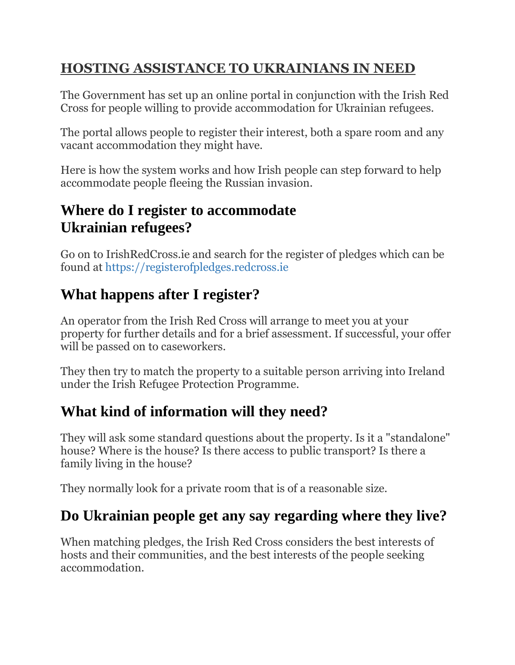#### **HOSTING ASSISTANCE TO UKRAINIANS IN NEED**

The Government has set up an online portal in conjunction with the Irish Red Cross for people willing to provide accommodation for Ukrainian refugees.

The portal allows people to register their interest, both a spare room and any vacant accommodation they might have.

Here is how the system works and how Irish people can step forward to help accommodate people fleeing the Russian invasion.

## **Where do I register to accommodate Ukrainian refugees?**

Go on to IrishRedCross.ie and search for the register of pledges which can be found at https://registerofpledges.redcross.ie

# **What happens after I register?**

An operator from the Irish Red Cross will arrange to meet you at your property for further details and for a brief assessment. If successful, your offer will be passed on to caseworkers.

They then try to match the property to a suitable person arriving into Ireland under the Irish Refugee Protection Programme.

# **What kind of information will they need?**

They will ask some standard questions about the property. Is it a "standalone" house? Where is the house? Is there access to public transport? Is there a family living in the house?

They normally look for a private room that is of a reasonable size.

# **Do Ukrainian people get any say regarding where they live?**

When matching pledges, the Irish Red Cross considers the best interests of hosts and their communities, and the best interests of the people seeking accommodation.